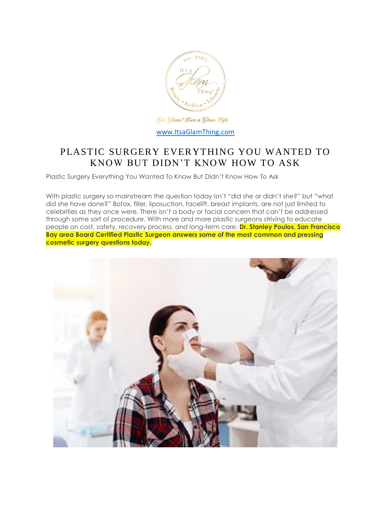

# PLASTIC SURGERY EVERYTHING YOU WANTED TO KNOW BUT DIDN'T KNOW HOW TO ASK

Plastic Surgery Everything You Wanted To Know But Didn't Know How To Ask

With plastic surgery so mainstream the question today isn't "did she or didn't she?" but "what did she have done?" Botox, filler, liposuction, facelift, breast implants, are not just limited to celebrities as they once were. There isn't a body or facial concern that can't be addressed through some sort of procedure. With more and more plastic surgeons striving to educate people on cost, safety, recovery process, and long-term care; **Dr. Stanley Poulos, San Francisco Bay area Board Certified Plastic Surgeon answers some of the most common and pressing cosmetic surgery questions today.**

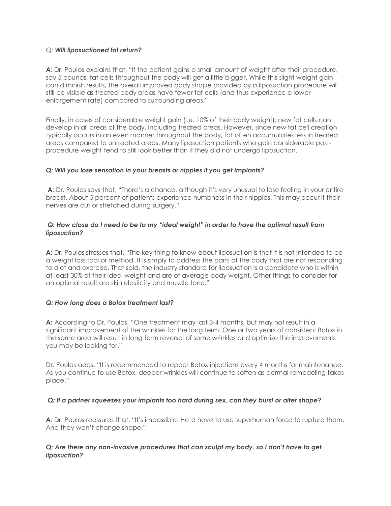#### Q: *Will liposuctioned fat return?*

**A**: Dr. Poulos explains that, "If the patient gains a small amount of weight after their procedure, say 5 pounds, fat cells throughout the body will get a little bigger. While this slight weight gain can diminish results, the overall improved body shape provided by a liposuction procedure will still be visible as treated body areas have fewer fat cells (and thus experience a lower enlargement rate) compared to surrounding areas."

Finally, in cases of considerable weight gain (i.e. 10% of their body weight); new fat cells can develop in all areas of the body, including treated areas. However, since new fat cell creation typically occurs in an even manner throughout the body, fat often accumulates less in treated areas compared to untreated areas. Many liposuction patients who gain considerable postprocedure weight tend to still look better than if they did not undergo liposuction.

### *Q: Will you lose sensation in your breasts or nipples if you get implants?*

**A**: Dr. Poulos says that, "There's a chance, although it's very unusual to lose feeling in your entire breast. About 5 percent of patients experience numbness in their nipples. This may occur if their nerves are cut or stretched during surgery."

# *Q: How close do I need to be to my "ideal weight" in order to have the optimal result from liposuction?*

**A:** Dr. Poulos stresses that, "The key thing to know about liposuction is that it is not intended to be a weight loss tool or method. It is simply to address the parts of the body that are not responding to diet and exercise. That said, the industry standard for liposuction is a candidate who is within at least 30% of their ideal weight and are of average body weight. Other things to consider for an optimal result are skin elasticity and muscle tone."

#### *Q: How long does a Botox treatment last?*

**A:** According to Dr. Poulos, "One treatment may last 3-4 months, but may not result in a significant improvement of the wrinkles for the long term. One or two years of consistent Botox in the same area will result in long term reversal of some wrinkles and optimize the improvements you may be looking for."

Dr. Poulos adds, "It is recommended to repeat Botox injections every 4 months for maintenance. As you continue to use Botox, deeper wrinkles will continue to soften as dermal remodeling takes place."

### *Q: If a partner squeezes your implants too hard during sex, can they burst or alter shape?*

**A**: Dr. Poulos reassures that, "It's impossible. He'd have to use superhuman force to rupture them. And they won't change shape."

### *Q: Are there any non-invasive procedures that can sculpt my body, so I don't have to get liposuction?*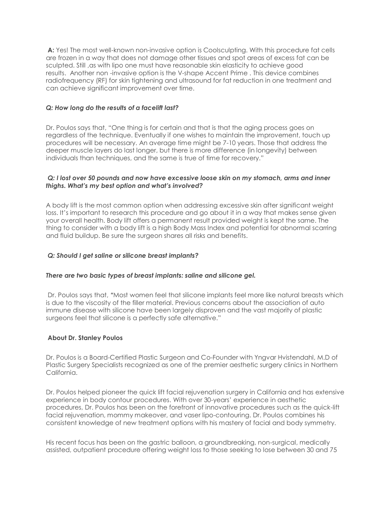**A:** Yes! The most well-known non-invasive option is Coolsculpting. With this procedure fat cells are frozen in a way that does not damage other tissues and spot areas of excess fat can be sculpted. Still ,as with lipo one must have reasonable skin elasticity to achieve good results. Another non -invasive option is the V-shape Accent Prime . This device combines radiofrequency (RF) for skin tightening and ultrasound for fat reduction in one treatment and can achieve significant improvement over time.

# *Q: How long do the results of a facelift last?*

Dr. Poulos says that, "One thing is for certain and that is that the aging process goes on regardless of the technique. Eventually if one wishes to maintain the improvement, touch up procedures will be necessary. An average time might be 7-10 years. Those that address the deeper muscle layers do last longer, but there is more difference (in longevity) between individuals than techniques, and the same is true of time for recovery."

### *Q: I lost over 50 pounds and now have excessive loose skin on my stomach, arms and inner thighs. What's my best option and what's involved?*

A body lift is the most common option when addressing excessive skin after significant weight loss. It's important to research this procedure and go about it in a way that makes sense given your overall health. Body lift offers a permanent result provided weight is kept the same. The thing to consider with a body lift is a high Body Mass Index and potential for abnormal scarring and fluid buildup. Be sure the surgeon shares all risks and benefits.

### *Q: Should I get saline or silicone breast implants?*

### *There are two basic types of breast implants: saline and silicone gel.*

Dr. Poulos says that, *"*Most women feel that silicone implants feel more like natural breasts which is due to the viscosity of the filler material. Previous concerns about the association of auto immune disease with silicone have been largely disproven and the vast majority of plastic surgeons feel that silicone is a perfectly safe alternative."

### **About Dr. Stanley Poulos**

Dr. Poulos is a Board-Certified Plastic Surgeon and Co-Founder with Yngvar Hvistendahl, M.D of Plastic Surgery Specialists recognized as one of the premier aesthetic surgery clinics in Northern California.

Dr. Poulos helped pioneer the quick lift facial rejuvenation surgery in California and has extensive experience in body contour procedures. With over 30-years' experience in aesthetic procedures, Dr. Poulos has been on the forefront of innovative procedures such as the quick-lift facial rejuvenation, mommy makeover, and vaser lipo-contouring. Dr. Poulos combines his consistent knowledge of new treatment options with his mastery of facial and body symmetry.

His recent focus has been on the gastric balloon, a groundbreaking, non-surgical, medically assisted, outpatient procedure offering weight loss to those seeking to lose between 30 and 75